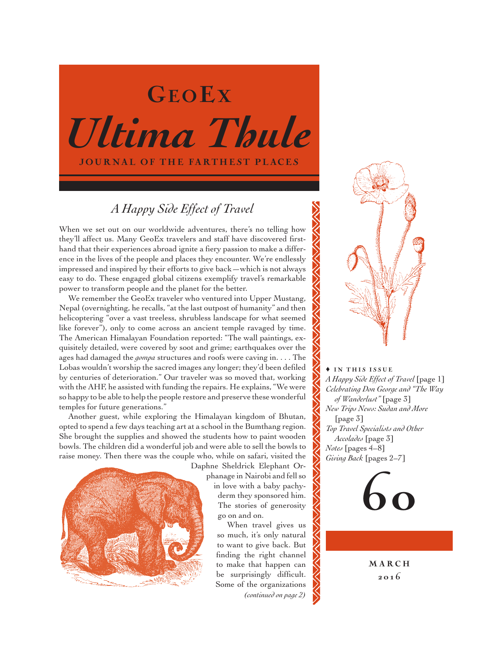# *Ultima Thule* **JOURNAL OF THE FARTHEST PLACES** GEOEX

# *A Happy Side Effect of Travel*

When we set out on our worldwide adventures, there's no telling how they'll affect us. Many GeoEx travelers and staff have discovered firsthand that their experiences abroad ignite a fiery passion to make a difference in the lives of the people and places they encounter. We're endlessly impressed and inspired by their efforts to give back—which is not always easy to do. These engaged global citizens exemplify travel's remarkable power to transform people and the planet for the better.

We remember the GeoEx traveler who ventured into Upper Mustang, Nepal (overnighting, he recalls, "at the last outpost of humanity" and then helicoptering "over a vast treeless, shrubless landscape for what seemed like forever"), only to come across an ancient temple ravaged by time. The American Himalayan Foundation reported: "The wall paintings, exquisitely detailed, were covered by soot and grime; earthquakes over the ages had damaged the *gompa* structures and roofs were caving in. . . . The Lobas wouldn't worship the sacred images any longer; they'd been defiled by centuries of deterioration." Our traveler was so moved that, working with the AHF, he assisted with funding the repairs. He explains, "We were so happy to be able to help the people restore and preserve these wonderful temples for future generations."

Another guest, while exploring the Himalayan kingdom of Bhutan, opted to spend a few days teaching art at a school in the Bumthang region. She brought the supplies and showed the students how to paint wooden bowls. The children did a wonderful job and were able to sell the bowls to raise money. Then there was the couple who, while on safari, visited the



Daphne Sheldrick Elephant Orphanage in Nairobi and fell so in love with a baby pachyderm they sponsored him. The stories of generosity go on and on.

When travel gives us so much, it's only natural to want to give back. But finding the right channel to make that happen can be surprisingly difficult. Some of the organizations *(continued on page 2)*



 $\triangle$  IN THIS ISSUE *A Happy Side Effect of Travel* [page 1] *Celebrating Don George and "The Way of Wanderlust"* [page 3] *New Trips News: Sudan and More*  [page 3] *Top Travel Specialists and Other Accolades* [page 3] *Notes* [pages 4–8] *Giving Back* [pages 2–7]



**MARCH** 201 6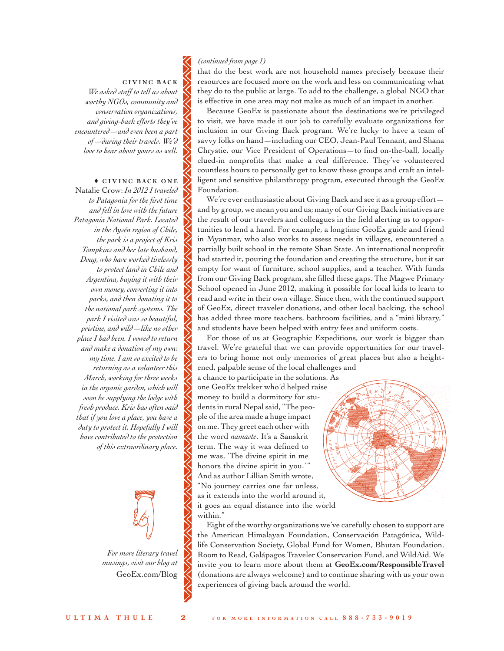#### GIVING BACK *We asked staff to tell us about worthy NGOs, community and conservation organizations, and giving-back efforts they've*

*encountered—and even been a part of—during their travels. We'd love to hear about yours as well.*

### $\triangle$  GIVING BACK ONE

Natalie Crow: *In 2012 I traveled to Patagonia for the first time and fell in love with the future Patagonia National Park. Located in the Aysén region of Chile, the park is a project of Kris Tompkins and her late husband, Doug, who have worked tirelessly to protect land in Chile and Argentina, buying it with their own money, converting it into parks, and then donating it to the national park systems. The park I visited was so beautiful, pristine, and wild—like no other place I had been. I vowed to return and make a donation of my own: my time. I am so excited to be returning as a volunteer this March, working for three weeks in the organic garden, which will soon be supplying the lodge with fresh produce. Kris has often said that if you love a place, you have a duty to protect it. Hopefully I will have contributed to the protection of this extraordinary place.*



*For more literary travel musings, visit our blog at* [GeoEx.com/Blog](www.GeoEx.com/Blog)

#### *(continued from page 1)*

that do the best work are not household names precisely because their resources are focused more on the work and less on communicating what they do to the public at large. To add to the challenge, a global NGO that is effective in one area may not make as much of an impact in another.

Because GeoEx is passionate about the destinations we're privileged to visit, we have made it our job to carefully evaluate organizations for inclusion in our Giving Back program. We're lucky to have a team of savvy folks on hand—including our CEO, Jean-Paul Tennant, and Shana Chrystie, our Vice President of Operations—to find on-the-ball, locally clued-in nonprofits that make a real difference. They've volunteered countless hours to personally get to know these groups and craft an intelligent and sensitive philanthropy program, executed through the GeoEx Foundation.

We're ever enthusiastic about Giving Back and see it as a group effort and by group, we mean you and us; many of our Giving Back initiatives are the result of our travelers and colleagues in the field alerting us to opportunities to lend a hand. For example, a longtime GeoEx guide and friend in Myanmar, who also works to assess needs in villages, encountered a partially built school in the remote Shan State. An international nonprofit had started it, pouring the foundation and creating the structure, but it sat empty for want of furniture, school supplies, and a teacher. With funds from our Giving Back program, she filled these gaps. The Magwe Primary School opened in June 2012, making it possible for local kids to learn to read and write in their own village. Since then, with the continued support of GeoEx, direct traveler donations, and other local backing, the school has added three more teachers, bathroom facilities, and a "mini library," and students have been helped with entry fees and uniform costs.

For those of us at Geographic Expeditions, our work is bigger than travel. We're grateful that we can provide opportunities for our travelers to bring home not only memories of great places but also a heightened, palpable sense of the local challenges and

a chance to participate in the solutions. As one GeoEx trekker who'd helped raise money to build a dormitory for students in rural Nepal said, "The people of the area made a huge impact on me. They greet each other with the word *namaste*. It's a Sanskrit term. The way it was defined to me was, 'The divine spirit in me honors the divine spirit in you.'" And as author Lillian Smith wrote, "No journey carries one far unless, as it extends into the world around it, it goes an equal distance into the world within."



Eight of the worthy organizations we've carefully chosen to support are the American Himalayan Foundation, Conservación Patagónica, Wildlife Conservation Society, Global Fund for Women, Bhutan Foundation, Room to Read, Galápagos Traveler Conservation Fund, and WildAid. We invite you to learn more about them at **[GeoEx.com/ResponsibleTravel](www.GeoEx.com/ResponsibleTravel)** (donations are always welcome) and to continue sharing with us your own experiences of giving back around the world.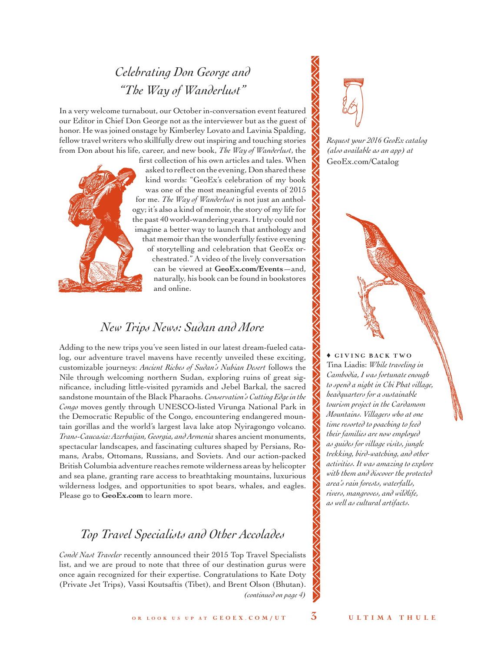# *Celebrating Don George and "The Way of Wanderlust"*

In a very welcome turnabout, our October in-conversation event featured our Editor in Chief Don George not as the interviewer but as the guest of honor. He was joined onstage by Kimberley Lovato and Lavinia Spalding, fellow travel writers who skillfully drew out inspiring and touching stories from Don about his life, career, and new book, *The Way of Wanderlust*, the



first collection of his own articles and tales. When asked to reflect on the evening, Don shared these kind words: "GeoEx's celebration of my book was one of the most meaningful events of 2015 for me. *The Way of Wanderlust* is not just an anthology; it's also a kind of memoir, the story of my life for the past 40 world-wandering years. I truly could not imagine a better way to launch that anthology and that memoir than the wonderfully festive evening of storytelling and celebration that GeoEx orchestrated." A video of the lively conversation can be viewed at **[GeoEx.com/Events](www.GeoEx.com/Events)**—and, naturally, his book can be found in bookstores and online.

## *New Trips News: Sudan and More*

Adding to the new trips you've seen listed in our latest dream-fueled catalog, our adventure travel mavens have recently unveiled these exciting, customizable journeys: *Ancient Riches of Sudan's Nubian Desert* follows the Nile through welcoming northern Sudan, exploring ruins of great significance, including little-visited pyramids and Jebel Barkal, the sacred sandstone mountain of the Black Pharaohs. *Conservation's Cutting Edge in the Congo* moves gently through UNESCO-listed Virunga National Park in the Democratic Republic of the Congo, encountering endangered mountain gorillas and the world's largest lava lake atop Nyiragongo volcano. *Trans-Caucasia: Azerbaijan, Georgia, and Armenia* shares ancient monuments, spectacular landscapes, and fascinating cultures shaped by Persians, Romans, Arabs, Ottomans, Russians, and Soviets. And our action-packed British Columbia adventure reaches remote wilderness areas by helicopter and sea plane, granting rare access to breathtaking mountains, luxurious wilderness lodges, and opportunities to spot bears, whales, and eagles. Please go to **[GeoEx.com](www.geoex.com)** to learn more.

# *Top Travel Specialists and Other Accolades*

*Condé Nast Traveler* recently announced their 2015 Top Travel Specialists list, and we are proud to note that three of our destination gurus were once again recognized for their expertise. Congratulations to Kate Doty (Private Jet Trips), Vassi Koutsaftis (Tibet), and Brent Olson (Bhutan). *(continued on page 4)*



*Request your 2016 GeoEx catalog (also available as an app) at*  [GeoEx.com/Catalog](www.geoex.com/catalog)

 $\triangle$  GIVING BACK TWO Tina Liadis: *While traveling in Cambodia, I was fortunate enough to spend a night in Chi Phat village, headquarters for a sustainable tourism project in the Cardamom Mountains. Villagers who at one time resorted to poaching to feed their families are now employed as guides for village visits, jungle trekking, bird-watching, and other activities. It was amazing to explore with them and discover the protected area's rain forests, waterfalls, rivers, mangroves, and wildlife, as well as cultural artifacts.*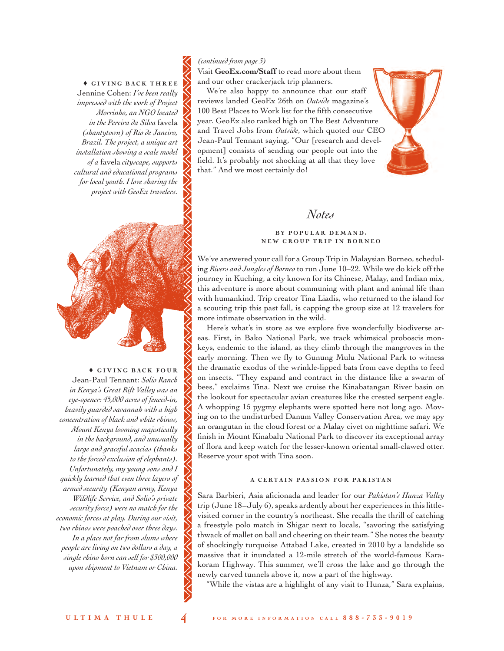$\triangle$  GIVING BACK THREE Jennine Cohen: *I've been really impressed with the work of Project Morrinho, an NGO located in the Pereira da Silva* favela *(shantytown) of Rio de Janeiro, Brazil. The project, a unique art installation showing a scale model of a* favela *cityscape, supports cultural and educational programs for local youth. I love sharing the project with GeoEx travelers.*



 $\triangle$  GIVING BACK FOUR Jean-Paul Tennant: *Solio Ranch in Kenya's Great Rift Valley was an eye-opener: 45,000 acres of fenced-in, heavily guarded savannah with a high concentration of black and white rhinos, Mount Kenya looming majestically in the background, and unusually large and graceful acacias (thanks to the forced exclusion of elephants). Unfortunately, my young sons and I quickly learned that even three layers of armed security (Kenyan army, Kenya Wildlife Service, and Solio's private security force) were no match for the economic forces at play. During our visit, two rhinos were poached over three days. In a place not far from slums where people are living on two dollars a day, a single rhino horn can sell for \$300,000 upon shipment to Vietnam or China.* 

#### *(continued from page 3)*

Visit **[GeoEx.com/Staff](www.GeoEx.com/Staff)** to read more about them and our other crackerjack trip planners.

We're also happy to announce that our staff reviews landed GeoEx 26th on *Outside* magazine's 100 Best Places to Work list for the fifth consecutive year. GeoEx also ranked high on The Best Adventure and Travel Jobs from *Outside*, which quoted our CEO Jean-Paul Tennant saying, "Our [research and development] consists of sending our people out into the field. It's probably not shocking at all that they love that." And we most certainly do!

## *Notes*

#### BY POPULAR DEMAND: NEW GROUP TRIP IN BORNEO

We've answered your call for a Group Trip in Malaysian Borneo, scheduling *Rivers and Jungles of Borneo* to run June 10–22. While we do kick off the journey in Kuching, a city known for its Chinese, Malay, and Indian mix, this adventure is more about communing with plant and animal life than with humankind. Trip creator Tina Liadis, who returned to the island for a scouting trip this past fall, is capping the group size at 12 travelers for more intimate observation in the wild.

Here's what's in store as we explore five wonderfully biodiverse areas. First, in Bako National Park, we track whimsical proboscis monkeys, endemic to the island, as they climb through the mangroves in the early morning. Then we fly to Gunung Mulu National Park to witness the dramatic exodus of the wrinkle-lipped bats from cave depths to feed on insects. "They expand and contract in the distance like a swarm of bees," exclaims Tina. Next we cruise the Kinabatangan River basin on the lookout for spectacular avian creatures like the crested serpent eagle. A whopping 15 pygmy elephants were spotted here not long ago. Moving on to the undisturbed Danum Valley Conservation Area, we may spy an orangutan in the cloud forest or a Malay civet on nighttime safari. We finish in Mount Kinabalu National Park to discover its exceptional array of flora and keep watch for the lesser-known oriental small-clawed otter. Reserve your spot with Tina soon.

#### A CERTAIN PASSION FOR PAKISTAN

Sara Barbieri, Asia aficionada and leader for our *Pakistan's Hunza Valley*  trip (June 18–July 6), speaks ardently about her experiences in this littlevisited corner in the country's northeast. She recalls the thrill of catching a freestyle polo match in Shigar next to locals, "savoring the satisfying thwack of mallet on ball and cheering on their team." She notes the beauty of shockingly turquoise Attabad Lake, created in 2010 by a landslide so massive that it inundated a 12-mile stretch of the world-famous Karakoram Highway. This summer, we'll cross the lake and go through the newly carved tunnels above it, now a part of the highway.

"While the vistas are a highlight of any visit to Hunza," Sara explains,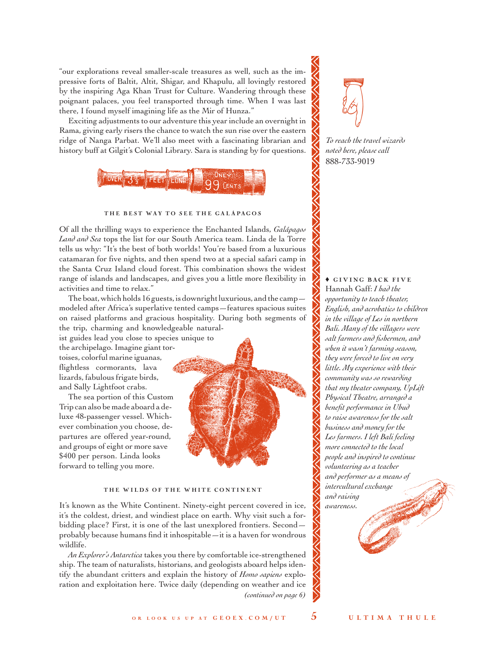"our explorations reveal smaller-scale treasures as well, such as the impressive forts of Baltit, Altit, Shigar, and Khapulu, all lovingly restored by the inspiring Aga Khan Trust for Culture. Wandering through these poignant palaces, you feel transported through time. When I was last there, I found myself imagining life as the Mir of Hunza."

Exciting adjustments to our adventure this year include an overnight in Rama, giving early risers the chance to watch the sun rise over the eastern ridge of Nanga Parbat. We'll also meet with a fascinating librarian and history buff at Gilgit's Colonial Library. Sara is standing by for questions.



#### THE BEST WAY TO SEE THE GALÁPAGOS

Of all the thrilling ways to experience the Enchanted Islands, *Galápagos Land and Sea* tops the list for our South America team. Linda de la Torre tells us why: "It's the best of both worlds! You're based from a luxurious catamaran for five nights, and then spend two at a special safari camp in the Santa Cruz Island cloud forest. This combination shows the widest range of islands and landscapes, and gives you a little more flexibility in activities and time to relax."

The boat, which holds 16 guests, is downright luxurious, and the camp modeled after Africa's superlative tented camps—features spacious suites on raised platforms and gracious hospitality. During both segments of the trip, charming and knowledgeable natural-

ist guides lead you close to species unique to the archipelago. Imagine giant tortoises, colorful marine iguanas, flightless cormorants, lava lizards, fabulous frigate birds, and Sally Lightfoot crabs.

The sea portion of this Custom Trip can also be made aboard a deluxe 48-passenger vessel. Whichever combination you choose, departures are offered year-round, and groups of eight or more save \$400 per person. Linda looks forward to telling you more.



#### THE WILDS OF THE WHITE CONTINENT

It's known as the White Continent. Ninety-eight percent covered in ice, it's the coldest, driest, and windiest place on earth. Why visit such a forbidding place? First, it is one of the last unexplored frontiers. Second probably because humans find it inhospitable—it is a haven for wondrous wildlife.

*An Explorer's Antarctica* takes you there by comfortable ice-strengthened ship. The team of naturalists, historians, and geologists aboard helps identify the abundant critters and explain the history of *Homo sapiens* exploration and exploitation here. Twice daily (depending on weather and ice *(continued on page 6)*



*To reach the travel wizards noted here, please call* 888-733-9019

#### $\blacklozenge$  GIVING BACK FIVE Hannah Gaff: *I had the*

*opportunity to teach theater, English, and acrobatics to children in the village of Les in northern Bali. Many of the villagers were salt farmers and fishermen, and when it wasn't farming season, they were forced to live on very little. My experience with their community was so rewarding that my theater company, UpLift Physical Theatre, arranged a benefit performance in Ubud to raise awareness for the salt business and money for the Les farmers. I left Bali feeling more connected to the local people and inspired to continue volunteering as a teacher and performer as a means of intercultural exchange and raising awareness.*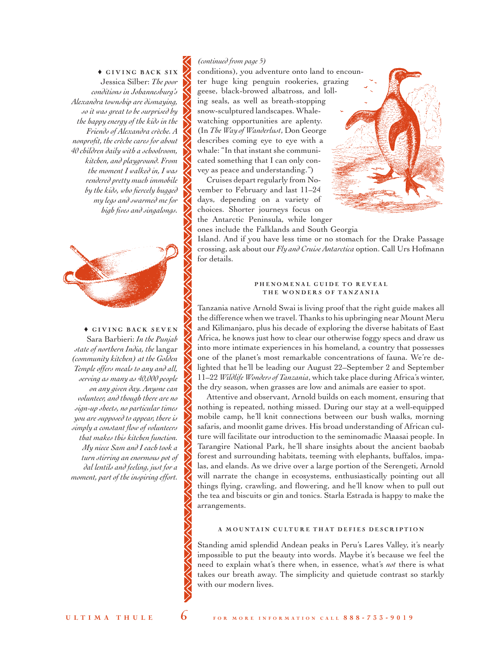$\triangle$  GIVING BACK SIX Jessica Silber: *The poor conditions in Johannesburg's Alexandra township are dismaying, so it was great to be surprised by the happy energy of the kids in the Friends of Alexandra crèche. A nonprofit, the crèche cares for about 40 children daily with a schoolroom, kitchen, and playground. From the moment I walked in, I was rendered pretty much immobile by the kids, who fiercely hugged my legs and swarmed me for high fives and singalongs.*



 $\triangle$  GIVING BACK SEVEN Sara Barbieri: *In the Punjab state of northern India, the* langar *(community kitchen) at the Golden Temple offers meals to any and all, serving as many as 40,000 people on any given day. Anyone can volunteer, and though there are no sign-up sheets, no particular times you are supposed to appear, there is simply a constant flow of volunteers that makes this kitchen function. My niece Sam and I each took a turn stirring an enormous pot of dal lentils and feeling, just for a moment, part of the inspiring effort.*

#### *(continued from page 5)*

conditions), you adventure onto land to encounter huge king penguin rookeries, grazing geese, black-browed albatross, and lolling seals, as well as breath-stopping snow-sculptured landscapes. Whalewatching opportunities are aplenty. (In *The Way of Wanderlust*, Don George describes coming eye to eye with a whale: "In that instant she communicated something that I can only convey as peace and understanding.")

Cruises depart regularly from November to February and last 11–24 days, depending on a variety of choices. Shorter journeys focus on the Antarctic Peninsula, while longer



ones include the Falklands and South Georgia

Island. And if you have less time or no stomach for the Drake Passage crossing, ask about our *Fly and Cruise Antarctica* option. Call Urs Hofmann for details.

#### PHENOMENAL GUIDE TO REVEAL THE WONDERS OF TANZANIA

Tanzania native Arnold Swai is living proof that the right guide makes all the difference when we travel. Thanks to his upbringing near Mount Meru and Kilimanjaro, plus his decade of exploring the diverse habitats of East Africa, he knows just how to clear our otherwise foggy specs and draw us into more intimate experiences in his homeland, a country that possesses one of the planet's most remarkable concentrations of fauna. We're delighted that he'll be leading our August 22–September 2 and September 11–22 *Wildlife Wonders of Tanzania*, which take place during Africa's winter, the dry season, when grasses are low and animals are easier to spot.

Attentive and observant, Arnold builds on each moment, ensuring that nothing is repeated, nothing missed. During our stay at a well-equipped mobile camp, he'll knit connections between our bush walks, morning safaris, and moonlit game drives. His broad understanding of African culture will facilitate our introduction to the seminomadic Maasai people. In Tarangire National Park, he'll share insights about the ancient baobab forest and surrounding habitats, teeming with elephants, buffalos, impalas, and elands. As we drive over a large portion of the Serengeti, Arnold will narrate the change in ecosystems, enthusiastically pointing out all things flying, crawling, and flowering, and he'll know when to pull out the tea and biscuits or gin and tonics. Starla Estrada is happy to make the arrangements.

#### A MOUNTAIN CULTURE THAT DEFIES DESCRIPTION

Standing amid splendid Andean peaks in Peru's Lares Valley, it's nearly impossible to put the beauty into words. Maybe it's because we feel the need to explain what's there when, in essence, what's *not* there is what takes our breath away. The simplicity and quietude contrast so starkly with our modern lives.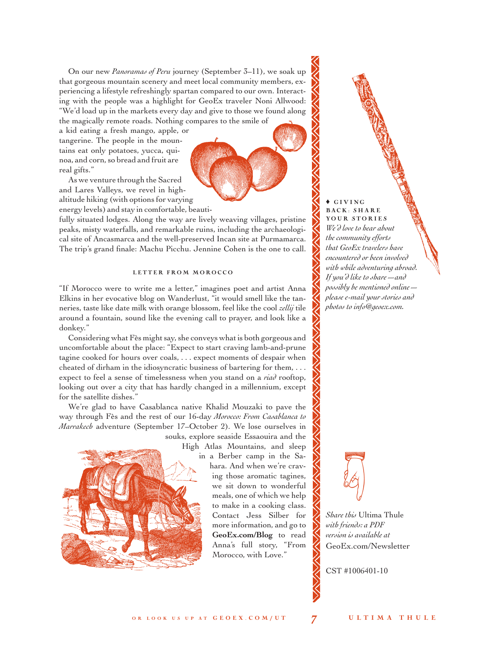On our new *Panoramas of Peru* journey (September 3–11), we soak up that gorgeous mountain scenery and meet local community members, experiencing a lifestyle refreshingly spartan compared to our own. Interacting with the people was a highlight for GeoEx traveler Noni Allwood: "We'd load up in the markets every day and give to those we found along the magically remote roads. Nothing compares to the smile of

a kid eating a fresh mango, apple, or tangerine. The people in the mountains eat only potatoes, yucca, quinoa, and corn, so bread and fruit are real gifts."

As we venture through the Sacred and Lares Valleys, we revel in highaltitude hiking (with options for varying energy levels) and stay in comfortable, beauti-

fully situated lodges. Along the way are lively weaving villages, pristine peaks, misty waterfalls, and remarkable ruins, including the archaeological site of Ancasmarca and the well-preserved Incan site at Purmamarca. The trip's grand finale: Machu Picchu. Jennine Cohen is the one to call.

#### LETTER FROM MOROCCO

"If Morocco were to write me a letter," imagines poet and artist Anna Elkins in her evocative blog on Wanderlust, "it would smell like the tanneries, taste like date milk with orange blossom, feel like the cool *zellij* tile around a fountain, sound like the evening call to prayer, and look like a donkey."

Considering what Fès might say, she conveys what is both gorgeous and uncomfortable about the place: "Expect to start craving lamb-and-prune tagine cooked for hours over coals, . . . expect moments of despair when cheated of dirham in the idiosyncratic business of bartering for them, . . . expect to feel a sense of timelessness when you stand on a *riad* rooftop, looking out over a city that has hardly changed in a millennium, except for the satellite dishes."

We're glad to have Casablanca native Khalid Mouzaki to pave the way through Fès and the rest of our 16-day *Morocco: From Casablanca to Marrakech* adventure (September 17–October 2). We lose ourselves in

souks, explore seaside Essaouira and the High Atlas Mountains, and sleep



in a Berber camp in the Sahara. And when we're craving those aromatic tagines, we sit down to wonderful meals, one of which we help to make in a cooking class. Contact Jess Silber for more information, and go to **[GeoEx.com/Blog](www.GeoEx.com/Blog)** to read Anna's full story, "From Morocco, with Love."

♦ G I V I N G BACK: SHARE YOUR STORIES *We'd love to hear about the community efforts that GeoEx travelers have encountered or been involved with while adventuring abroad. If you'd like to share—and possibly be mentioned online please e-mail your stories and photos to [info@geoex.com.](mailto:info@geoex.com)*



*Share this* Ultima Thule *with friends: a PDF version is available at*  [GeoEx.com/Newsletter](www.GeoEx.com/Newsletter)

CST #1006401-10